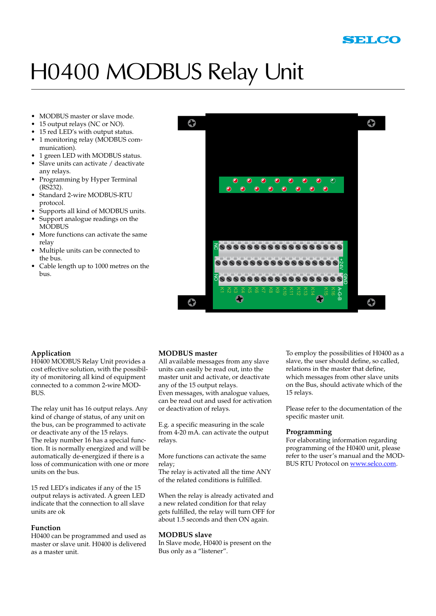## H0400 MODBUS Relay Unit

- MODBUS master or slave mode.
- 15 output relays (NC or NO).
- 15 red LED's with output status. •
- 1 monitoring relay (MODBUS communication).
- 1 green LED with MODBUS status. •
- Slave units can activate / deactivate any relays. •
- Programming by Hyper Terminal (RS232). •
- Standard 2-wire MODBUS-RTU protocol. •
- Supports all kind of MODBUS units. •
- Support analogue readings on the **MODBUS** •
- More functions can activate the same relay •
- Multiple units can be connected to the bus. •
- Cable length up to 1000 metres on the bus. •



#### **Application**

H0400 MODBUS Relay Unit provides a cost effective solution, with the possibility of monitoring all kind of equipment connected to a common 2-wire MOD-BUS.

The relay unit has 16 output relays. Any kind of change of status, of any unit on the bus, can be programmed to activate or deactivate any of the 15 relays. The relay number 16 has a special function. It is normally energized and will be automatically de-energized if there is a loss of communication with one or more units on the bus.

15 red LED's indicates if any of the 15 output relays is activated. A green LED indicate that the connection to all slave units are ok

#### **Function**

H0400 can be programmed and used as master or slave unit. H0400 is delivered as a master unit.

#### **MODBUS master**

All available messages from any slave units can easily be read out, into the master unit and activate, or deactivate any of the 15 output relays. Even messages, with analogue values, can be read out and used for activation or deactivation of relays.

E.g. a specific measuring in the scale from 4-20 mA. can activate the output relays.

More functions can activate the same relay;

The relay is activated all the time ANY of the related conditions is fulfilled.

When the relay is already activated and a new related condition for that relay gets fulfilled, the relay will turn OFF for about 1.5 seconds and then ON again.

#### **MODBUS slave**

In Slave mode, H0400 is present on the Bus only as a "listener".

To employ the possibilities of H0400 as a slave, the user should define, so called, relations in the master that define, which messages from other slave units on the Bus, should activate which of the 15 relays.

Please refer to the documentation of the specific master unit.

#### **Programming**

For elaborating information regarding programming of the H0400 unit, please refer to the user's manual and the MOD-BUS RTU Protocol on www.selco.com.